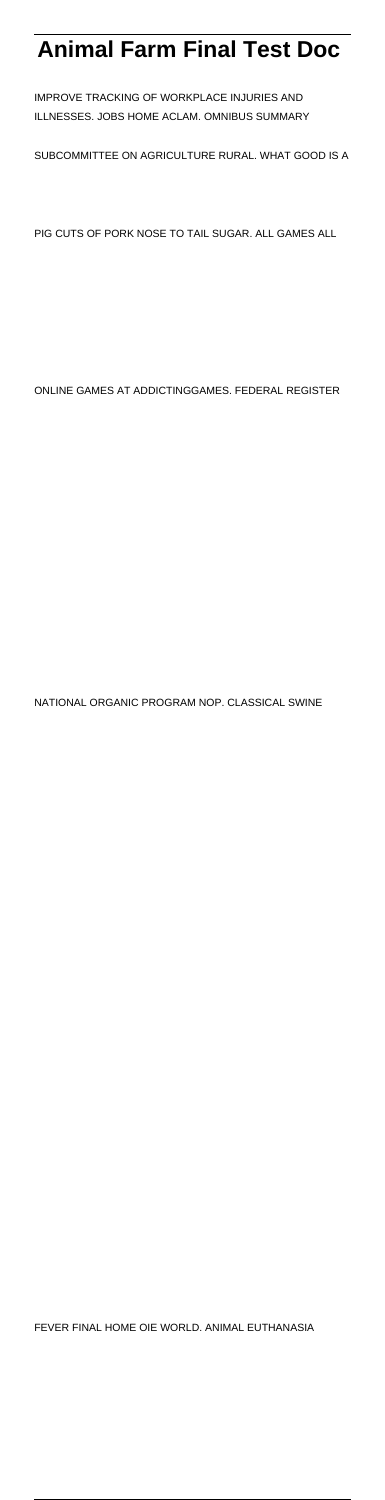# **Animal Farm Final Test Doc**

IMPROVE TRACKING OF WORKPLACE INJURIES AND ILLNESSES. JOBS HOME ACLAM. OMNIBUS SUMMARY

SUBCOMMITTEE ON AGRICULTURE RURAL. WHAT GOOD IS A

PIG CUTS OF PORK NOSE TO TAIL SUGAR. ALL GAMES ALL

ONLINE GAMES AT ADDICTINGGAMES. FEDERAL REGISTER

NATIONAL ORGANIC PROGRAM NOP. CLASSICAL SWINE

FEVER FINAL HOME OIE WORLD. ANIMAL EUTHANASIA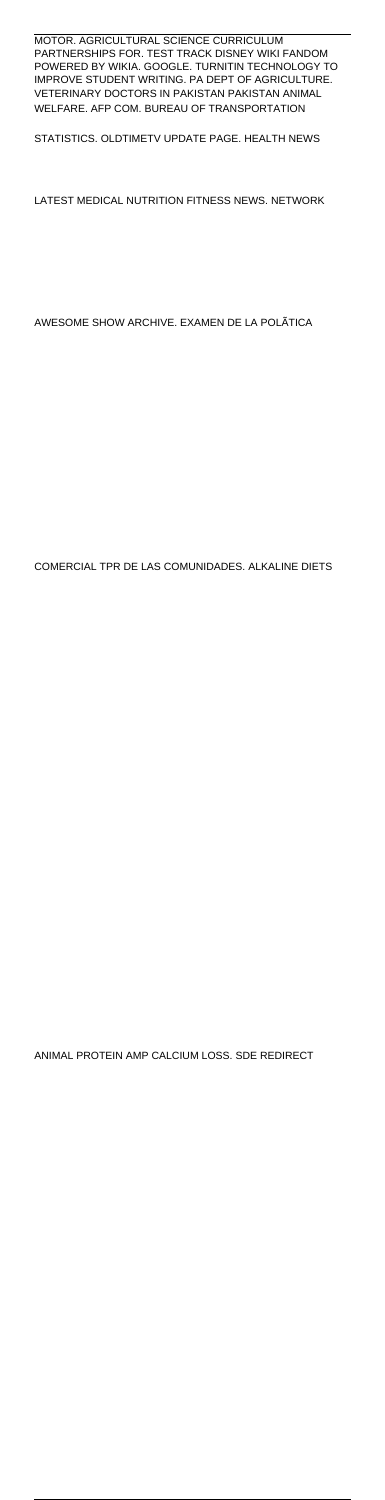#### MOTOR. AGRICULTURAL SCIENCE CURRICULUM PARTNERSHIPS FOR. TEST TRACK DISNEY WIKI FANDOM POWERED BY WIKIA. GOOGLE. TURNITIN TECHNOLOGY TO IMPROVE STUDENT WRITING. PA DEPT OF AGRICULTURE. VETERINARY DOCTORS IN PAKISTAN PAKISTAN ANIMAL WELFARE. AFP COM. BUREAU OF TRANSPORTATION

STATISTICS. OLDTIMETV UPDATE PAGE. HEALTH NEWS

LATEST MEDICAL NUTRITION FITNESS NEWS. NETWORK

AWESOME SHOW ARCHIVE. EXAMEN DE LA POLÃTICA

COMERCIAL TPR DE LAS COMUNIDADES. ALKALINE DIETS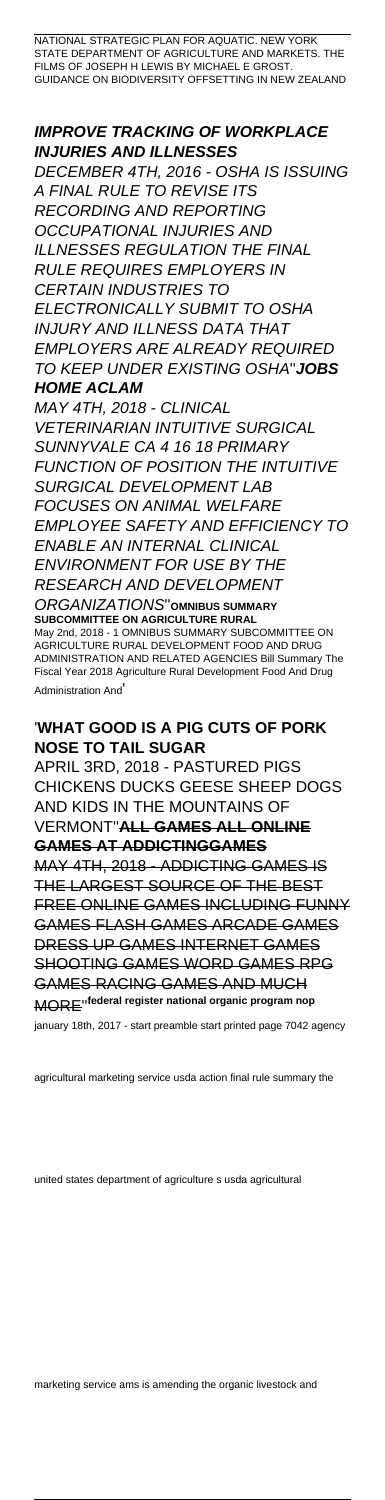NATIONAL STRATEGIC PLAN FOR AQUATIC. NEW YORK STATE DEPARTMENT OF AGRICULTURE AND MARKETS. THE FILMS OF JOSEPH H LEWIS BY MICHAEL E GROST GUIDANCE ON BIODIVERSITY OFFSETTING IN NEW ZEALAND

## **IMPROVE TRACKING OF WORKPLACE INJURIES AND ILLNESSES**

DECEMBER 4TH, 2016 - OSHA IS ISSUING A FINAL RULE TO REVISE ITS RECORDING AND REPORTING OCCUPATIONAL INJURIES AND ILLNESSES REGULATION THE FINAL RULE REQUIRES EMPLOYERS IN CERTAIN INDUSTRIES TO ELECTRONICALLY SUBMIT TO OSHA INJURY AND ILLNESS DATA THAT EMPLOYERS ARE ALREADY REQUIRED TO KEEP UNDER EXISTING OSHA''**JOBS HOME ACLAM**

MAY 4TH, 2018 - CLINICAL VETERINARIAN INTUITIVE SURGICAL SUNNYVALE CA 4 16 18 PRIMARY FUNCTION OF POSITION THE INTUITIVE SURGICAL DEVELOPMENT LAB FOCUSES ON ANIMAL WELFARE EMPLOYEE SAFETY AND EFFICIENCY TO ENABLE AN INTERNAL CLINICAL ENVIRONMENT FOR USE BY THE RESEARCH AND DEVELOPMENT

#### ORGANIZATIONS''**OMNIBUS SUMMARY SUBCOMMITTEE ON AGRICULTURE RURAL**

May 2nd, 2018 - 1 OMNIBUS SUMMARY SUBCOMMITTEE ON AGRICULTURE RURAL DEVELOPMENT FOOD AND DRUG ADMINISTRATION AND RELATED AGENCIES Bill Summary The Fiscal Year 2018 Agriculture Rural Development Food And Drug Administration And'

## '**WHAT GOOD IS A PIG CUTS OF PORK NOSE TO TAIL SUGAR**

APRIL 3RD, 2018 - PASTURED PIGS CHICKENS DUCKS GEESE SHEEP DOGS AND KIDS IN THE MOUNTAINS OF VERMONT''**ALL GAMES ALL ONLINE GAMES AT ADDICTINGGAMES**

MAY 4TH, 2018 - ADDICTING GAMES IS THE LARGEST SOURCE OF THE BEST FREE ONLINE GAMES INCLUDING FUNNY GAMES FLASH GAMES ARCADE GAMES DRESS UP GAMES INTERNET GAMES SHOOTING GAMES WORD GAMES RPG GAMES RACING GAMES AND MUCH MORE''**federal register national organic program nop**

january 18th, 2017 - start preamble start printed page 7042 agency

united states department of agriculture s usda agricultural

marketing service ams is amending the organic livestock and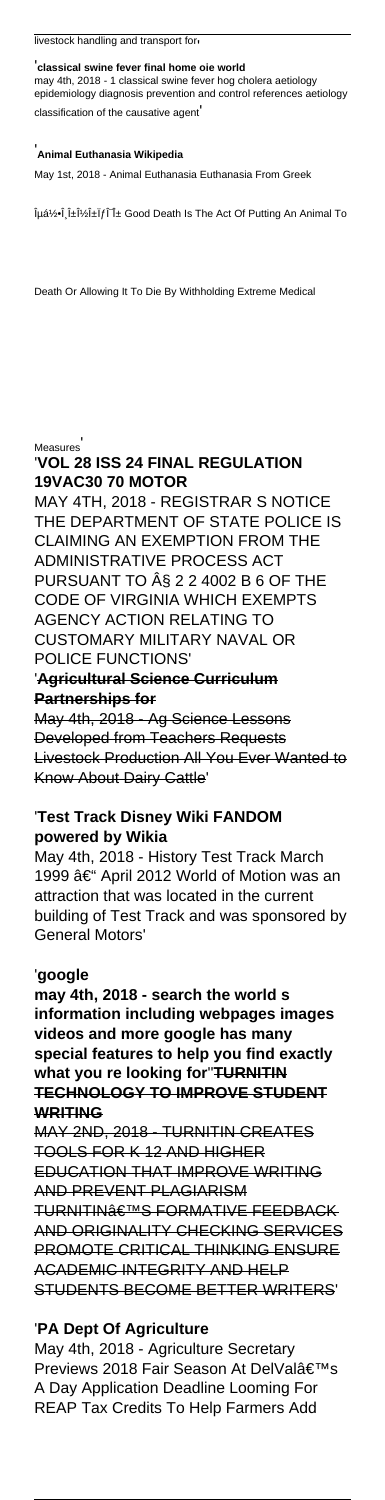#### '**classical swine fever final home oie world**

may 4th, 2018 - 1 classical swine fever hog cholera aetiology epidemiology diagnosis prevention and control references aetiology classification of the causative agent'

#### '**Animal Euthanasia Wikipedia**

May 1st, 2018 - Animal Euthanasia Euthanasia From Greek

ÎμὕÎ,αναÏfÎTα Good Death Is The Act Of Putting An Animal To

Death Or Allowing It To Die By Withholding Extreme Medical

**Measures** 

## '**VOL 28 ISS 24 FINAL REGULATION 19VAC30 70 MOTOR**

MAY 4TH, 2018 - REGISTRAR S NOTICE THE DEPARTMENT OF STATE POLICE IS CLAIMING AN EXEMPTION FROM THE ADMINISTRATIVE PROCESS ACT PURSUANT TO § 2 2 4002 B 6 OF THE CODE OF VIRGINIA WHICH EXEMPTS AGENCY ACTION RELATING TO CUSTOMARY MILITARY NAVAL OR POLICE FUNCTIONS' '**Agricultural Science Curriculum Partnerships for** May 4th, 2018 - Ag Science Lessons Developed from Teachers Requests Livestock Production All You Ever Wanted to

Know About Dairy Cattle'

## '**Test Track Disney Wiki FANDOM powered by Wikia**

May 4th, 2018 - History Test Track March 1999 – April 2012 World of Motion was an attraction that was located in the current building of Test Track and was sponsored by General Motors'

#### '**google**

**may 4th, 2018 - search the world s information including webpages images videos and more google has many special features to help you find exactly what you re looking for**''**TURNITIN**

#### **TECHNOLOGY TO IMPROVE STUDENT WRITING**

MAY 2ND, 2018 - TURNITIN CREATES TOOLS FOR K 12 AND HIGHER EDUCATION THAT IMPROVE WRITING AND PREVENT PLAGIARISM TURNITIN<sub>â</sub>ETMS FORMATIVE FEEDBACK AND ORIGINALITY CHECKING SERVICES PROMOTE CRITICAL THINKING ENSURE ACADEMIC INTEGRITY AND HELP STUDENTS BECOME BETTER WRITERS'

## '**PA Dept Of Agriculture**

May 4th, 2018 - Agriculture Secretary Previews 2018 Fair Season At DelVal's A Day Application Deadline Looming For REAP Tax Credits To Help Farmers Add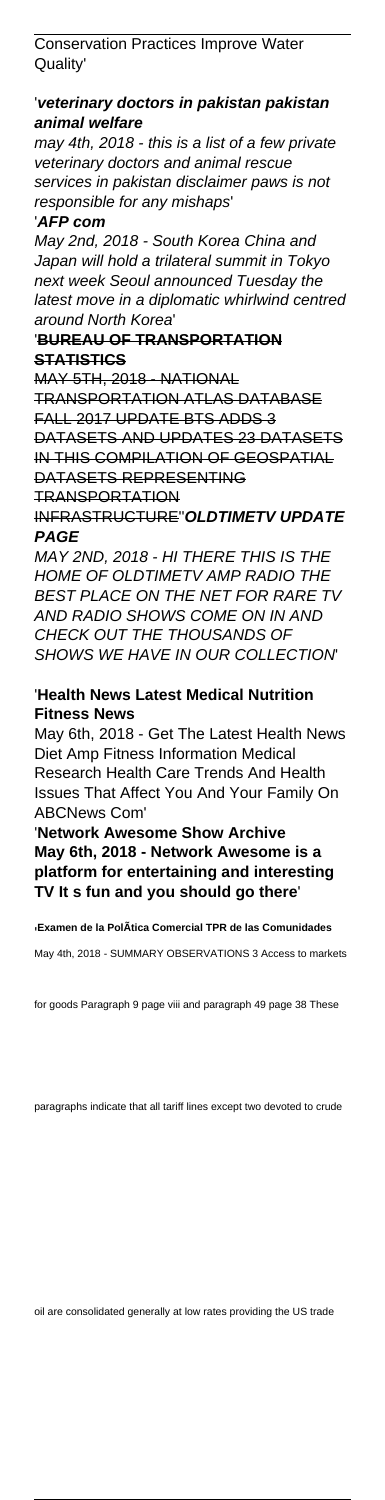Conservation Practices Improve Water Quality'

## '**veterinary doctors in pakistan pakistan animal welfare**

may 4th, 2018 - this is a list of a few private veterinary doctors and animal rescue services in pakistan disclaimer paws is not responsible for any mishaps'

#### '**AFP com**

May 2nd, 2018 - South Korea China and Japan will hold a trilateral summit in Tokyo next week Seoul announced Tuesday the latest move in a diplomatic whirlwind centred around North Korea'

## '**BUREAU OF TRANSPORTATION STATISTICS**

MAY 5TH, 2018 - NATIONAL TRANSPORTATION ATLAS DATABASE FALL 2017 UPDATE BTS ADDS 3 DATASETS AND UPDATES 23 DATASETS IN THIS COMPILATION OF GEOSPATIAL DATASETS REPRESENTING TRANSPORTATION INFRASTRUCTURE''**OLDTIMETV UPDATE**

## **PAGE**

MAY 2ND, 2018 - HI THERE THIS IS THE HOME OF OLDTIMETV AMP RADIO THE BEST PLACE ON THE NET FOR RARE TV AND RADIO SHOWS COME ON IN AND CHECK OUT THE THOUSANDS OF SHOWS WE HAVE IN OUR COLLECTION'

## '**Health News Latest Medical Nutrition Fitness News**

May 6th, 2018 - Get The Latest Health News Diet Amp Fitness Information Medical Research Health Care Trends And Health Issues That Affect You And Your Family On ABCNews Com'

'**Network Awesome Show Archive May 6th, 2018 - Network Awesome is a platform for entertaining and interesting TV It s fun and you should go there**'

#### '**Examen de la PolÃtica Comercial TPR de las Comunidades**

May 4th, 2018 - SUMMARY OBSERVATIONS 3 Access to markets

for goods Paragraph 9 page viii and paragraph 49 page 38 These

paragraphs indicate that all tariff lines except two devoted to crude

oil are consolidated generally at low rates providing the US trade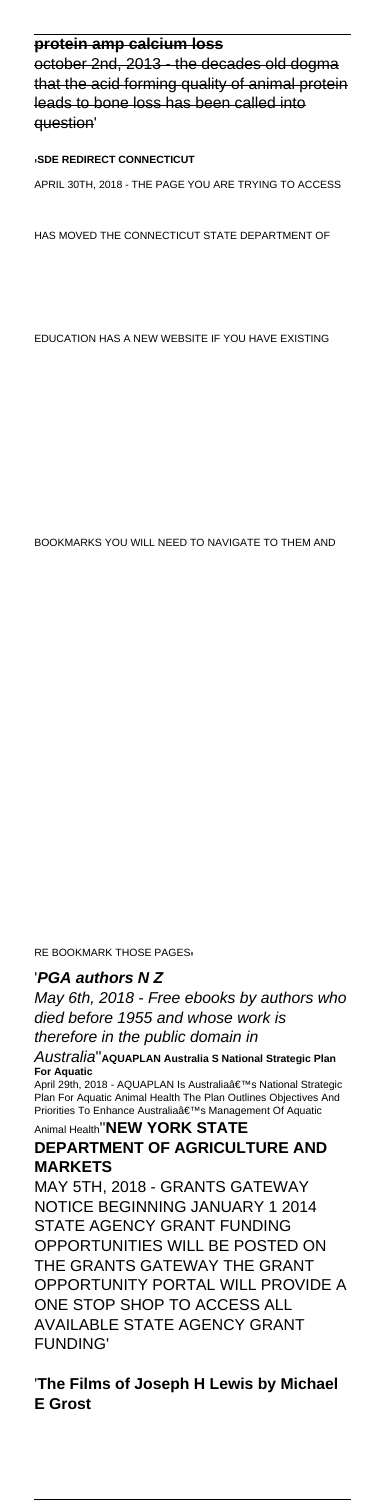#### **protein amp calcium loss**

october 2nd, 2013 - the decades old dogma that the acid forming quality of animal protein leads to bone loss has been called into question'

#### '**SDE REDIRECT CONNECTICUT**

APRIL 30TH, 2018 - THE PAGE YOU ARE TRYING TO ACCESS

HAS MOVED THE CONNECTICUT STATE DEPARTMENT OF

Australia''**AQUAPLAN Australia S National Strategic Plan For Aquatic** April 29th, 2018 - AQUAPLAN Is Australia's National Strategic

EDUCATION HAS A NEW WEBSITE IF YOU HAVE EXISTING

Plan For Aquatic Animal Health The Plan Outlines Objectives And Priorities To Enhance Australia's Management Of Aquatic

BOOKMARKS YOU WILL NEED TO NAVIGATE TO THEM AND

RE BOOKMARK THOSE PAGES'

#### '**PGA authors N Z**

May 6th, 2018 - Free ebooks by authors who died before 1955 and whose work is therefore in the public domain in

#### Animal Health''**NEW YORK STATE DEPARTMENT OF AGRICULTURE AND MARKETS**

MAY 5TH, 2018 - GRANTS GATEWAY NOTICE BEGINNING JANUARY 1 2014 STATE AGENCY GRANT FUNDING OPPORTUNITIES WILL BE POSTED ON THE GRANTS GATEWAY THE GRANT OPPORTUNITY PORTAL WILL PROVIDE A ONE STOP SHOP TO ACCESS ALL AVAILABLE STATE AGENCY GRANT FUNDING'

'**The Films of Joseph H Lewis by Michael E Grost**